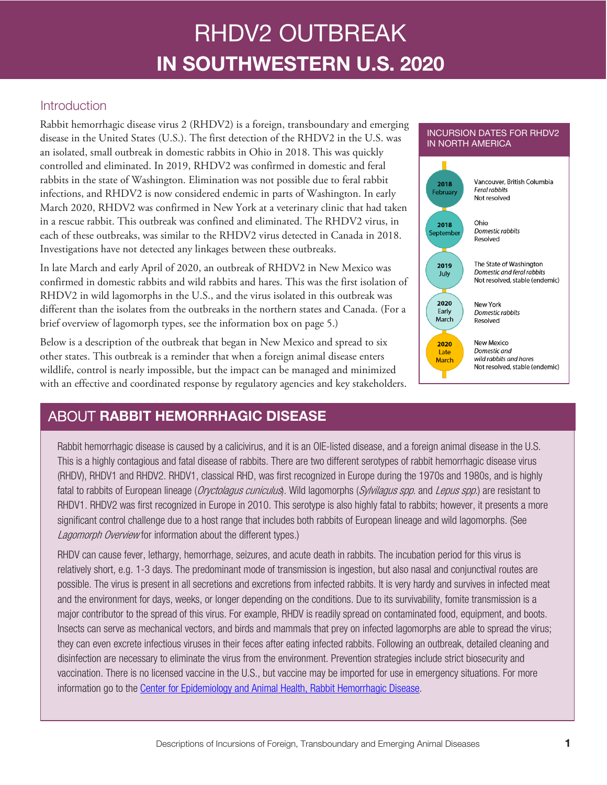# RHDV2 OUTBREAK IN SOUTHWESTERN U.S. 2020

### Introduction

Rabbit hemorrhagic disease virus 2 (RHDV2) is a foreign, transboundary and emerging disease in the United States (U.S.). The first detection of the RHDV2 in the U.S. was an isolated, small outbreak in domestic rabbits in Ohio in 2018. This was quickly controlled and eliminated. In 2019, RHDV2 was confirmed in domestic and feral rabbits in the state of Washington. Elimination was not possible due to feral rabbit infections, and RHDV2 is now considered endemic in parts of Washington. In early March 2020, RHDV2 was confirmed in New York at a veterinary clinic that had taken in a rescue rabbit. This outbreak was confined and eliminated. The RHDV2 virus, in each of these outbreaks, was similar to the RHDV2 virus detected in Canada in 2018. Investigations have not detected any linkages between these outbreaks.

In late March and early April of 2020, an outbreak of RHDV2 in New Mexico was confirmed in domestic rabbits and wild rabbits and hares. This was the first isolation of RHDV2 in wild lagomorphs in the U.S., and the virus isolated in this outbreak was different than the isolates from the outbreaks in the northern states and Canada. (For a brief overview of lagomorph types, see the information box on page 5.)

Below is a description of the outbreak that began in New Mexico and spread to six other states. This outbreak is a reminder that when a foreign animal disease enters wildlife, control is nearly impossible, but the impact can be managed and minimized with an effective and coordinated response by regulatory agencies and key stakeholders.



INCURSION DATES FOR RHDV2

# ABOUT RABBIT HEMORRHAGIC DISEASE

Rabbit hemorrhagic disease is caused by a calicivirus, and it is an OIE-listed disease, and a foreign animal disease in the U.S. This is a highly contagious and fatal disease of rabbits. There are two different serotypes of rabbit hemorrhagic disease virus (RHDV), RHDV1 and RHDV2. RHDV1, classical RHD, was first recognized in Europe during the 1970s and 1980s, and is highly fatal to rabbits of European lineage (Oryctolagus cuniculus). Wild lagomorphs (Sylvilagus spp. and Lepus spp.) are resistant to RHDV1. RHDV2 was first recognized in Europe in 2010. This serotype is also highly fatal to rabbits; however, it presents a more significant control challenge due to a host range that includes both rabbits of European lineage and wild lagomorphs. (See Lagomorph Overview for information about the different types.)

RHDV can cause fever, lethargy, hemorrhage, seizures, and acute death in rabbits. The incubation period for this virus is relatively short, e.g. 1-3 days. The predominant mode of transmission is ingestion, but also nasal and conjunctival routes are possible. The virus is present in all secretions and excretions from infected rabbits. It is very hardy and survives in infected meat and the environment for days, weeks, or longer depending on the conditions. Due to its survivability, fomite transmission is a major contributor to the spread of this virus. For example, RHDV is readily spread on contaminated food, equipment, and boots. Insects can serve as mechanical vectors, and birds and mammals that prey on infected lagomorphs are able to spread the virus; they can even excrete infectious viruses in their feces after eating infected rabbits. Following an outbreak, detailed cleaning and disinfection are necessary to eliminate the virus from the environment. Prevention strategies include strict biosecurity and vaccination. There is no licensed vaccine in the U.S., but vaccine may be imported for use in emergency situations. For more information go to the [Center for Epidemiology and Animal Health, Rabbit Hemorrhagic Disease.](https://www.aphis.usda.gov/aphis/ourfocus/animalhealth/sa-epidemiology-animalhealth-ceah/ri)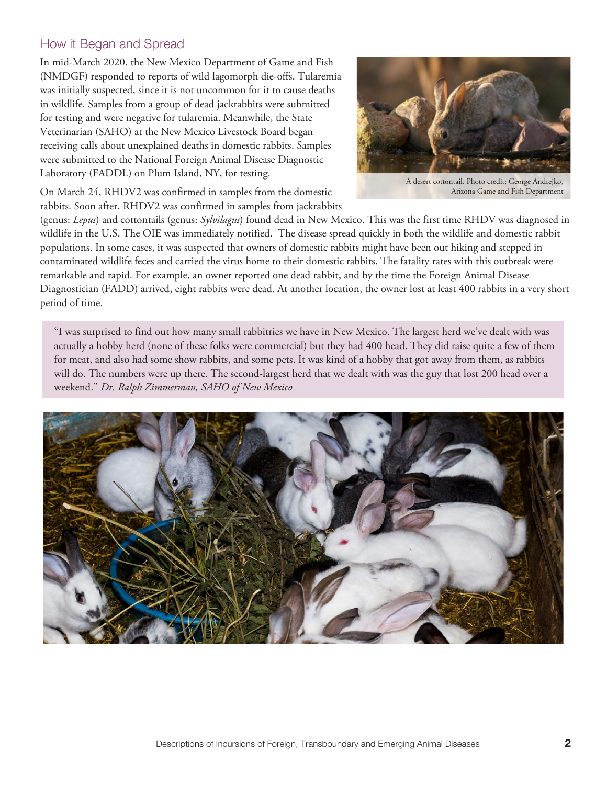#### How it Began and Spread

In mid-March 2020, the New Mexico Department of Game and Fish (NMDGF) responded to reports of wild lagomorph die-offs. Tularemia was initially suspected, since it is not uncommon for it to cause deaths in wildlife. Samples from a group of dead jackrabbits were submitted for testing and were negative for tularemia. Meanwhile, the State Veterinarian (SAHO) at the New Mexico Livestock Board began receiving calls about unexplained deaths in domestic rabbits. Samples were submitted to the National Foreign Animal Disease Diagnostic Laboratory (FADDL) on Plum Island, NY, for testing.



A desert cottontail. Photo credit: George Andrejko, Arizona Game and Fish Department

On March 24, RHDV2 was confirmed in samples from the domestic rabbits. Soon after, RHDV2 was confirmed in samples from jackrabbits

(genus: *Lepus*) and cottontails (genus: *Sylvilagus*) found dead in New Mexico. This was the first time RHDV was diagnosed in wildlife in the U.S. The OIE was immediately notified. The disease spread quickly in both the wildlife and domestic rabbit populations. In some cases, it was suspected that owners of domestic rabbits might have been out hiking and stepped in contaminated wildlife feces and carried the virus home to their domestic rabbits. The fatality rates with this outbreak were remarkable and rapid. For example, an owner reported one dead rabbit, and by the time the Foreign Animal Disease Diagnostician (FADD) arrived, eight rabbits were dead. At another location, the owner lost at least 400 rabbits in a very short period of time.

"I was surprised to find out how many small rabbitries we have in New Mexico. The largest herd we've dealt with was actually a hobby herd (none of these folks were commercial) but they had 400 head. They did raise quite a few of them for meat, and also had some show rabbits, and some pets. It was kind of a hobby that got away from them, as rabbits will do. The numbers were up there. The second-largest herd that we dealt with was the guy that lost 200 head over a weekend." *Dr. Ralph Zimmerman, SAHO of New Mexico*

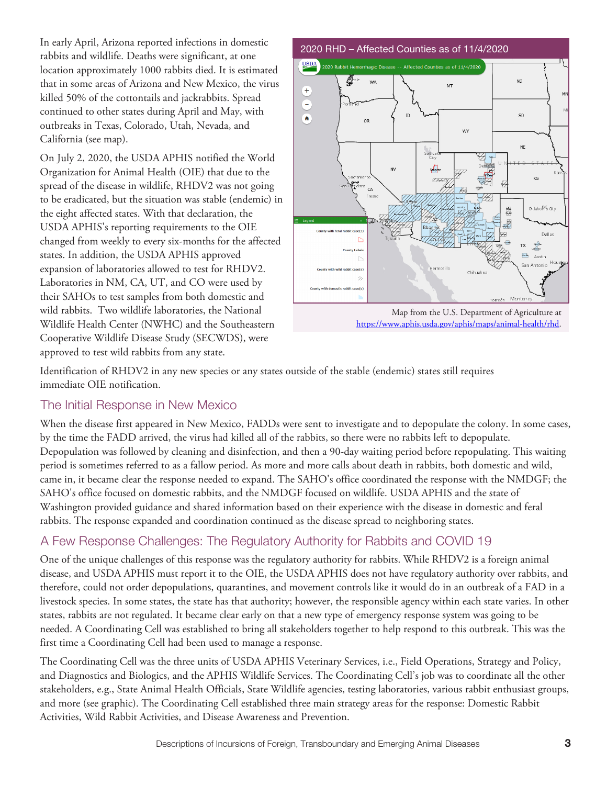In early April, Arizona reported infections in domestic rabbits and wildlife. Deaths were significant, at one location approximately 1000 rabbits died. It is estimated that in some areas of Arizona and New Mexico, the virus killed 50% of the cottontails and jackrabbits. Spread continued to other states during April and May, with outbreaks in Texas, Colorado, Utah, Nevada, and California (see map).

On July 2, 2020, the USDA APHIS notified the World Organization for Animal Health (OIE) that due to the spread of the disease in wildlife, RHDV2 was not going to be eradicated, but the situation was stable (endemic) in the eight affected states. With that declaration, the USDA APHIS's reporting requirements to the OIE changed from weekly to every six-months for the affected states. In addition, the USDA APHIS approved expansion of laboratories allowed to test for RHDV2. Laboratories in NM, CA, UT, and CO were used by their SAHOs to test samples from both domestic and wild rabbits. Two wildlife laboratories, the National Wildlife Health Center (NWHC) and the Southeastern Cooperative Wildlife Disease Study (SECWDS), were approved to test wild rabbits from any state.



[https://www.aphis.usda.gov/aphis/maps/animal-health/rhd.](https://www.aphis.usda.gov/aphis/maps/animal-health/rhd)

Identification of RHDV2 in any new species or any states outside of the stable (endemic) states still requires immediate OIE notification.

#### The Initial Response in New Mexico

When the disease first appeared in New Mexico, FADDs were sent to investigate and to depopulate the colony. In some cases, by the time the FADD arrived, the virus had killed all of the rabbits, so there were no rabbits left to depopulate. Depopulation was followed by cleaning and disinfection, and then a 90-day waiting period before repopulating. This waiting period is sometimes referred to as a fallow period. As more and more calls about death in rabbits, both domestic and wild, came in, it became clear the response needed to expand. The SAHO's office coordinated the response with the NMDGF; the SAHO's office focused on domestic rabbits, and the NMDGF focused on wildlife. USDA APHIS and the state of Washington provided guidance and shared information based on their experience with the disease in domestic and feral rabbits. The response expanded and coordination continued as the disease spread to neighboring states.

# A Few Response Challenges: The Regulatory Authority for Rabbits and COVID 19

One of the unique challenges of this response was the regulatory authority for rabbits. While RHDV2 is a foreign animal disease, and USDA APHIS must report it to the OIE, the USDA APHIS does not have regulatory authority over rabbits, and therefore, could not order depopulations, quarantines, and movement controls like it would do in an outbreak of a FAD in a livestock species. In some states, the state has that authority; however, the responsible agency within each state varies. In other states, rabbits are not regulated. It became clear early on that a new type of emergency response system was going to be needed. A Coordinating Cell was established to bring all stakeholders together to help respond to this outbreak. This was the first time a Coordinating Cell had been used to manage a response.

The Coordinating Cell was the three units of USDA APHIS Veterinary Services, i.e., Field Operations, Strategy and Policy, and Diagnostics and Biologics, and the APHIS Wildlife Services. The Coordinating Cell's job was to coordinate all the other stakeholders, e.g., State Animal Health Officials, State Wildlife agencies, testing laboratories, various rabbit enthusiast groups, and more (see graphic). The Coordinating Cell established three main strategy areas for the response: Domestic Rabbit Activities, Wild Rabbit Activities, and Disease Awareness and Prevention.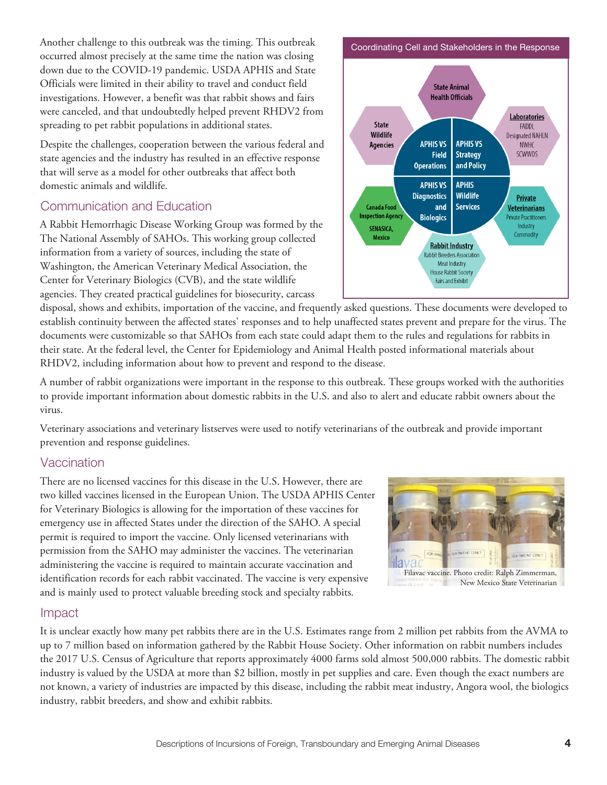Another challenge to this outbreak was the timing. This outbreak occurred almost precisely at the same time the nation was closing down due to the COVID-19 pandemic. USDA APHIS and State Officials were limited in their ability to travel and conduct field investigations. However, a benefit was that rabbit shows and fairs were canceled, and that undoubtedly helped prevent RHDV2 from spreading to pet rabbit populations in additional states.

Despite the challenges, cooperation between the various federal and state agencies and the industry has resulted in an effective response that will serve as a model for other outbreaks that affect both domestic animals and wildlife.

## Communication and Education

A Rabbit Hemorrhagic Disease Working Group was formed by the The National Assembly of SAHOs. This working group collected information from a variety of sources, including the state of Washington, the American Veterinary Medical Association, the Center for Veterinary Biologics (CVB), and the state wildlife agencies. They created practical guidelines for biosecurity, carcass



disposal, shows and exhibits, importation of the vaccine, and frequently asked questions. These documents were developed to establish continuity between the affected states' responses and to help unaffected states prevent and prepare for the virus. The documents were customizable so that SAHOs from each state could adapt them to the rules and regulations for rabbits in their state. At the federal level, the Center for Epidemiology and Animal Health posted informational materials about RHDV2, including information about how to prevent and respond to the disease.

A number of rabbit organizations were important in the response to this outbreak. These groups worked with the authorities to provide important information about domestic rabbits in the U.S. and also to alert and educate rabbit owners about the virus.

Veterinary associations and veterinary listserves were used to notify veterinarians of the outbreak and provide important prevention and response guidelines.

#### **Vaccination**

There are no licensed vaccines for this disease in the U.S. However, there are two killed vaccines licensed in the European Union. The USDA APHIS Center for Veterinary Biologics is allowing for the importation of these vaccines for emergency use in affected States under the direction of the SAHO. A special permit is required to import the vaccine. Only licensed veterinarians with permission from the SAHO may administer the vaccines. The veterinarian administering the vaccine is required to maintain accurate vaccination and identification records for each rabbit vaccinated. The vaccine is very expensive and is mainly used to protect valuable breeding stock and specialty rabbits.



#### Impact

It is unclear exactly how many pet rabbits there are in the U.S. Estimates range from 2 million pet rabbits from the AVMA to up to 7 million based on information gathered by the Rabbit House Society. Other information on rabbit numbers includes the 2017 U.S. Census of Agriculture that reports approximately 4000 farms sold almost 500,000 rabbits. The domestic rabbit industry is valued by the USDA at more than \$2 billion, mostly in pet supplies and care. Even though the exact numbers are not known, a variety of industries are impacted by this disease, including the rabbit meat industry, Angora wool, the biologics industry, rabbit breeders, and show and exhibit rabbits.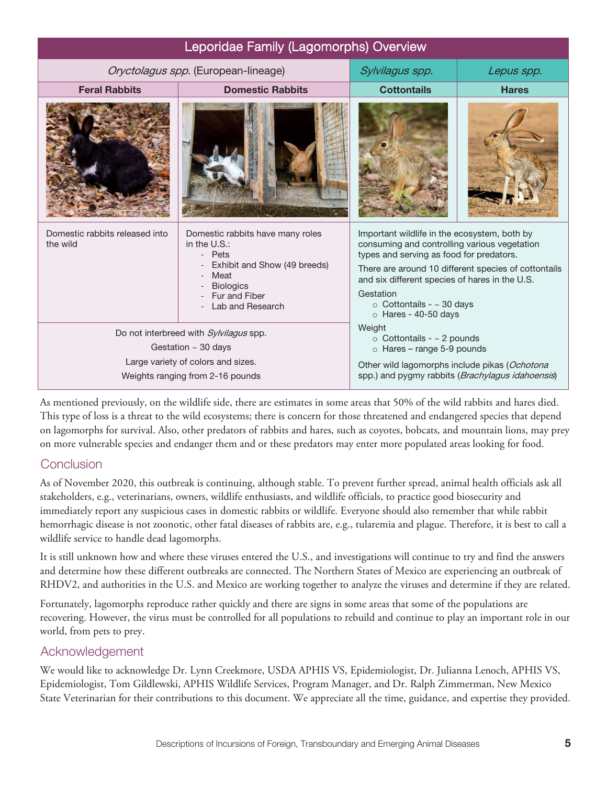| Leporidae Family (Lagomorphs) Overview                                 |                                                                                                                                                             |                                                                                                                                                                                                                                                                               |                                                      |
|------------------------------------------------------------------------|-------------------------------------------------------------------------------------------------------------------------------------------------------------|-------------------------------------------------------------------------------------------------------------------------------------------------------------------------------------------------------------------------------------------------------------------------------|------------------------------------------------------|
| Oryctolagus spp. (European-lineage)                                    |                                                                                                                                                             | Sylvilagus spp.                                                                                                                                                                                                                                                               | Lepus spp.                                           |
| <b>Feral Rabbits</b>                                                   | <b>Domestic Rabbits</b>                                                                                                                                     | <b>Cottontails</b>                                                                                                                                                                                                                                                            | <b>Hares</b>                                         |
|                                                                        |                                                                                                                                                             |                                                                                                                                                                                                                                                                               |                                                      |
| Domestic rabbits released into<br>the wild                             | Domestic rabbits have many roles<br>in the U.S.:<br>- Pets<br>Exhibit and Show (49 breeds)<br>Meat<br><b>Biologics</b><br>Fur and Fiber<br>Lab and Research | Important wildlife in the ecosystem, both by<br>consuming and controlling various vegetation<br>types and serving as food for predators.<br>and six different species of hares in the U.S.<br>Gestation<br>$\circ$ Cottontails - $\sim$ 30 days<br>$\circ$ Hares - 40-50 days | There are around 10 different species of cottontails |
| Do not interbreed with Sylvilagus spp.<br>Gestation $\sim$ 30 days     |                                                                                                                                                             | Weight<br>$\circ$ Cottontails - $\sim$ 2 pounds<br>$\circ$ Hares – range 5-9 pounds                                                                                                                                                                                           |                                                      |
| Large variety of colors and sizes.<br>Weights ranging from 2-16 pounds |                                                                                                                                                             | Other wild lagomorphs include pikas (Ochotona<br>spp.) and pygmy rabbits (Brachylagus idahoensis)                                                                                                                                                                             |                                                      |

As mentioned previously, on the wildlife side, there are estimates in some areas that 50% of the wild rabbits and hares died. This type of loss is a threat to the wild ecosystems; there is concern for those threatened and endangered species that depend on lagomorphs for survival. Also, other predators of rabbits and hares, such as coyotes, bobcats, and mountain lions, may prey on more vulnerable species and endanger them and or these predators may enter more populated areas looking for food.

#### **Conclusion**

As of November 2020, this outbreak is continuing, although stable. To prevent further spread, animal health officials ask all stakeholders, e.g., veterinarians, owners, wildlife enthusiasts, and wildlife officials, to practice good biosecurity and immediately report any suspicious cases in domestic rabbits or wildlife. Everyone should also remember that while rabbit hemorrhagic disease is not zoonotic, other fatal diseases of rabbits are, e.g., tularemia and plague. Therefore, it is best to call a wildlife service to handle dead lagomorphs.

It is still unknown how and where these viruses entered the U.S., and investigations will continue to try and find the answers and determine how these different outbreaks are connected. The Northern States of Mexico are experiencing an outbreak of RHDV2, and authorities in the U.S. and Mexico are working together to analyze the viruses and determine if they are related.

Fortunately, lagomorphs reproduce rather quickly and there are signs in some areas that some of the populations are recovering. However, the virus must be controlled for all populations to rebuild and continue to play an important role in our world, from pets to prey.

#### Acknowledgement

We would like to acknowledge Dr. Lynn Creekmore, USDA APHIS VS, Epidemiologist, Dr. Julianna Lenoch, APHIS VS, Epidemiologist, Tom Gildlewski, APHIS Wildlife Services, Program Manager, and Dr. Ralph Zimmerman, New Mexico State Veterinarian for their contributions to this document. We appreciate all the time, guidance, and expertise they provided.